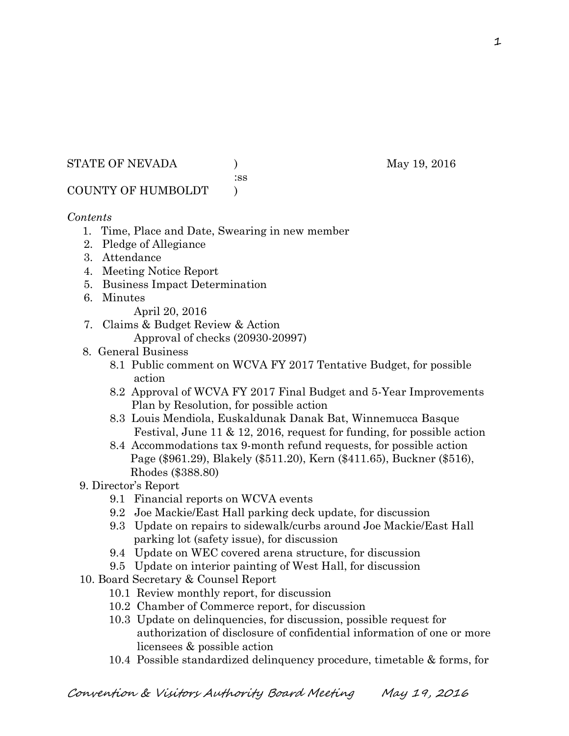STATE OF NEVADA (a) and the May 19, 2016

:ss

## COUNTY OF HUMBOLDT )

### *Contents*

- 1. Time, Place and Date, Swearing in new member
- 2. Pledge of Allegiance
- 3. Attendance
- 4. Meeting Notice Report
- 5. Business Impact Determination
- 6. Minutes
	- April 20, 2016
- 7. Claims & Budget Review & Action
	- Approval of checks (20930-20997)
- 8. General Business
	- 8.1 Public comment on WCVA FY 2017 Tentative Budget, for possible action
	- 8.2 Approval of WCVA FY 2017 Final Budget and 5-Year Improvements Plan by Resolution, for possible action
	- 8.3 Louis Mendiola, Euskaldunak Danak Bat, Winnemucca Basque Festival, June 11 & 12, 2016, request for funding, for possible action
	- 8.4 Accommodations tax 9-month refund requests, for possible action Page (\$961.29), Blakely (\$511.20), Kern (\$411.65), Buckner (\$516), Rhodes (\$388.80)
- 9. Director's Report
	- 9.1 Financial reports on WCVA events
	- 9.2 Joe Mackie/East Hall parking deck update, for discussion
	- 9.3 Update on repairs to sidewalk/curbs around Joe Mackie/East Hall parking lot (safety issue), for discussion
	- 9.4 Update on WEC covered arena structure, for discussion
	- 9.5 Update on interior painting of West Hall, for discussion
- 10. Board Secretary & Counsel Report
	- 10.1 Review monthly report, for discussion
	- 10.2 Chamber of Commerce report, for discussion
	- 10.3 Update on delinquencies, for discussion, possible request for authorization of disclosure of confidential information of one or more licensees & possible action
	- 10.4 Possible standardized delinquency procedure, timetable & forms, for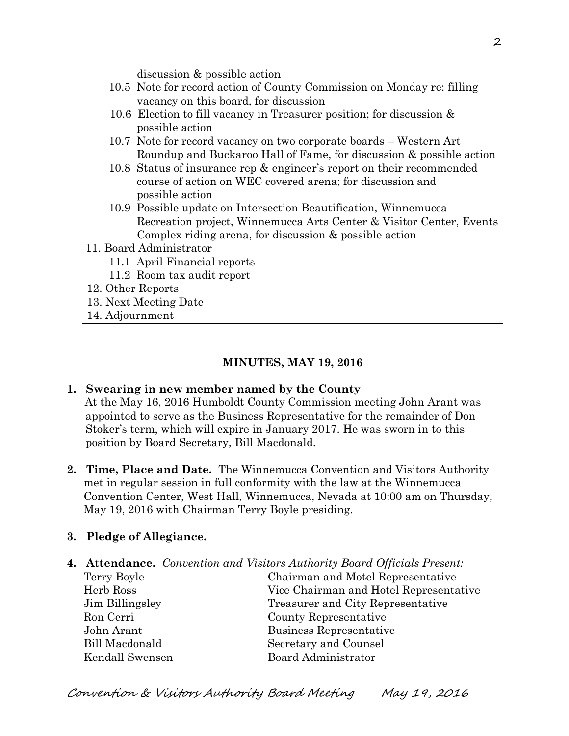discussion & possible action

- 10.5 Note for record action of County Commission on Monday re: filling vacancy on this board, for discussion
- 10.6 Election to fill vacancy in Treasurer position; for discussion & possible action
- 10.7 Note for record vacancy on two corporate boards Western Art Roundup and Buckaroo Hall of Fame, for discussion & possible action
- 10.8 Status of insurance rep & engineer's report on their recommended course of action on WEC covered arena; for discussion and possible action
- 10.9 Possible update on Intersection Beautification, Winnemucca Recreation project, Winnemucca Arts Center & Visitor Center, Events Complex riding arena, for discussion & possible action
- 11. Board Administrator
	- 11.1 April Financial reports
	- 11.2 Room tax audit report
- 12. Other Reports
- 13. Next Meeting Date
- 14. Adjournment

#### **MINUTES, MAY 19, 2016**

#### **1. Swearing in new member named by the County**

At the May 16, 2016 Humboldt County Commission meeting John Arant was appointed to serve as the Business Representative for the remainder of Don Stoker's term, which will expire in January 2017. He was sworn in to this position by Board Secretary, Bill Macdonald.

**2. Time, Place and Date.** The Winnemucca Convention and Visitors Authority met in regular session in full conformity with the law at the Winnemucca Convention Center, West Hall, Winnemucca, Nevada at 10:00 am on Thursday, May 19, 2016 with Chairman Terry Boyle presiding.

#### **3. Pledge of Allegiance.**

**4. Attendance.** *Convention and Visitors Authority Board Officials Present:* 

| Terry Boyle           | Chairman and Motel Representative      |
|-----------------------|----------------------------------------|
| Herb Ross             | Vice Chairman and Hotel Representative |
| Jim Billingsley       | Treasurer and City Representative      |
| Ron Cerri             | County Representative                  |
| John Arant            | Business Representative                |
| <b>Bill Macdonald</b> | Secretary and Counsel                  |
| Kendall Swensen       | Board Administrator                    |
|                       |                                        |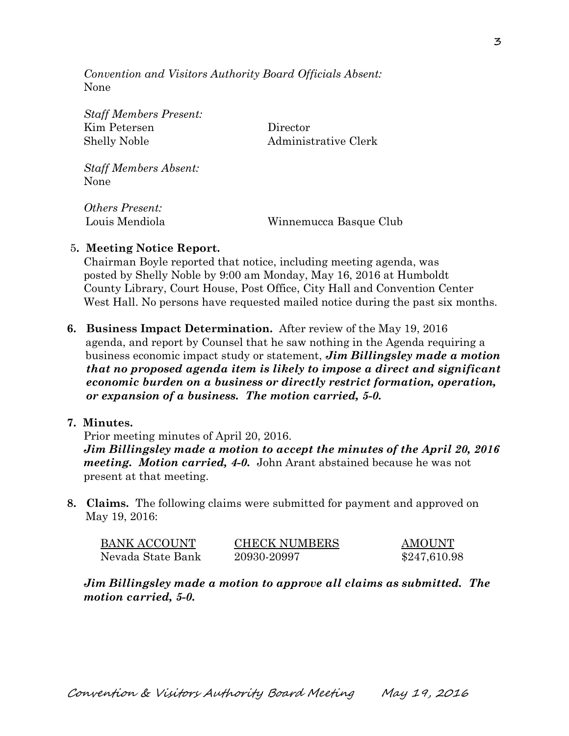*Convention and Visitors Authority Board Officials Absent:*  None

*Staff Members Present:*  Kim Petersen Director

Shelly Noble Administrative Clerk

*Staff Members Absent:*  None

*Others Present:* 

Louis Mendiola Winnemucca Basque Club

#### 5**. Meeting Notice Report.**

Chairman Boyle reported that notice, including meeting agenda, was posted by Shelly Noble by 9:00 am Monday, May 16, 2016 at Humboldt County Library, Court House, Post Office, City Hall and Convention Center West Hall. No persons have requested mailed notice during the past six months.

**6. Business Impact Determination.** After review of the May 19, 2016 agenda, and report by Counsel that he saw nothing in the Agenda requiring a business economic impact study or statement, *Jim Billingsley made a motion that no proposed agenda item is likely to impose a direct and significant economic burden on a business or directly restrict formation, operation, or expansion of a business. The motion carried, 5-0.* 

#### **7. Minutes.**

Prior meeting minutes of April 20, 2016. *Jim Billingsley made a motion to accept the minutes of the April 20, 2016 meeting. Motion carried, 4-0.* John Arant abstained because he was not present at that meeting.

**8. Claims.** The following claims were submitted for payment and approved on May 19, 2016:

| BANK ACCOUNT      | <b>CHECK NUMBERS</b> | <b>AMOUNT</b> |
|-------------------|----------------------|---------------|
| Nevada State Bank | 20930-20997          | \$247,610.98  |

*Jim Billingsley made a motion to approve all claims as submitted. The motion carried, 5-0.*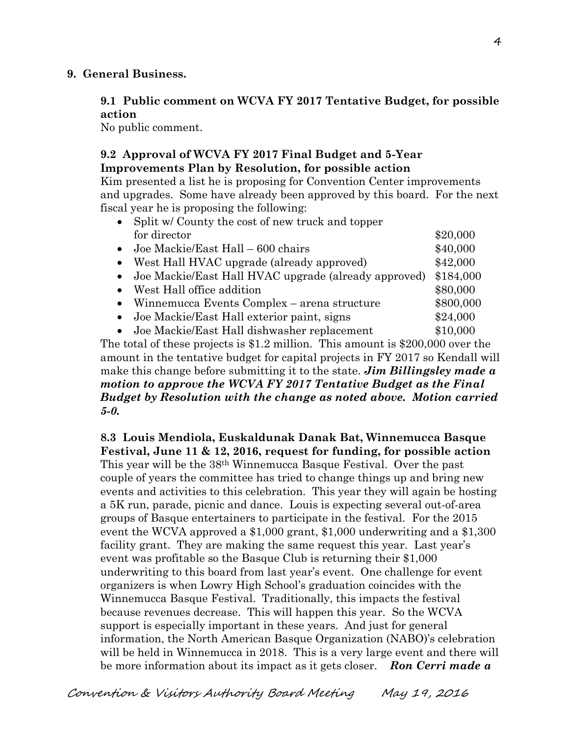#### **9. General Business.**

### **9.1 Public comment on WCVA FY 2017 Tentative Budget, for possible action**

No public comment.

## **9.2 Approval of WCVA FY 2017 Final Budget and 5-Year Improvements Plan by Resolution, for possible action**

Kim presented a list he is proposing for Convention Center improvements and upgrades. Some have already been approved by this board. For the next fiscal year he is proposing the following:

|           | Split w/County the cost of new truck and topper        |           |  |  |
|-----------|--------------------------------------------------------|-----------|--|--|
|           | for director                                           | \$20,000  |  |  |
|           | • Joe Mackie/East Hall $-600$ chairs                   | \$40,000  |  |  |
| $\bullet$ | West Hall HVAC upgrade (already approved)              | \$42,000  |  |  |
|           | • Joe Mackie/East Hall HVAC upgrade (already approved) | \$184,000 |  |  |
| $\bullet$ | West Hall office addition                              |           |  |  |
| $\bullet$ | Winnemucca Events Complex – arena structure            | \$800,000 |  |  |
| $\bullet$ | Joe Mackie/East Hall exterior paint, signs             | \$24,000  |  |  |
|           | • Joe Mackie/East Hall dishwasher replacement          | \$10,000  |  |  |
|           |                                                        |           |  |  |

The total of these projects is \$1.2 million. This amount is \$200,000 over the amount in the tentative budget for capital projects in FY 2017 so Kendall will make this change before submitting it to the state. *Jim Billingsley made a motion to approve the WCVA FY 2017 Tentative Budget as the Final Budget by Resolution with the change as noted above. Motion carried 5-0.* 

**8.3 Louis Mendiola, Euskaldunak Danak Bat, Winnemucca Basque Festival, June 11 & 12, 2016, request for funding, for possible action**  This year will be the 38th Winnemucca Basque Festival. Over the past couple of years the committee has tried to change things up and bring new events and activities to this celebration. This year they will again be hosting a 5K run, parade, picnic and dance. Louis is expecting several out-of-area groups of Basque entertainers to participate in the festival. For the 2015 event the WCVA approved a \$1,000 grant, \$1,000 underwriting and a \$1,300 facility grant. They are making the same request this year. Last year's event was profitable so the Basque Club is returning their \$1,000 underwriting to this board from last year's event. One challenge for event organizers is when Lowry High School's graduation coincides with the Winnemucca Basque Festival. Traditionally, this impacts the festival because revenues decrease. This will happen this year. So the WCVA support is especially important in these years. And just for general information, the North American Basque Organization (NABO)'s celebration will be held in Winnemucca in 2018. This is a very large event and there will be more information about its impact as it gets closer. *Ron Cerri made a*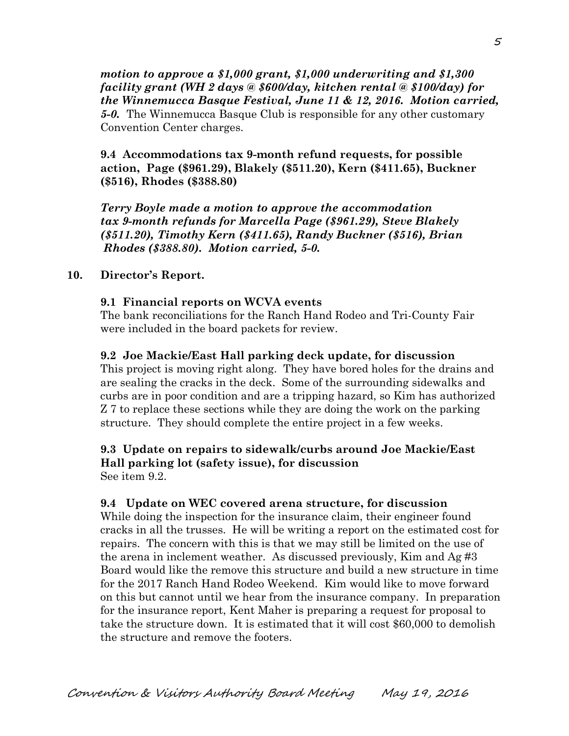*motion to approve a \$1,000 grant, \$1,000 underwriting and \$1,300 facility grant (WH 2 days @ \$600/day, kitchen rental @ \$100/day) for the Winnemucca Basque Festival, June 11 & 12, 2016. Motion carried, 5-0.* The Winnemucca Basque Club is responsible for any other customary Convention Center charges.

**9.4 Accommodations tax 9-month refund requests, for possible action, Page (\$961.29), Blakely (\$511.20), Kern (\$411.65), Buckner (\$516), Rhodes (\$388.80)** 

*Terry Boyle made a motion to approve the accommodation tax 9-month refunds for Marcella Page (\$961.29), Steve Blakely (\$511.20), Timothy Kern (\$411.65), Randy Buckner (\$516), Brian Rhodes (\$388.80). Motion carried, 5-0.*

#### **10. Director's Report.**

#### **9.1 Financial reports on WCVA events**

The bank reconciliations for the Ranch Hand Rodeo and Tri-County Fair were included in the board packets for review.

#### **9.2 Joe Mackie/East Hall parking deck update, for discussion**

This project is moving right along. They have bored holes for the drains and are sealing the cracks in the deck. Some of the surrounding sidewalks and curbs are in poor condition and are a tripping hazard, so Kim has authorized Z 7 to replace these sections while they are doing the work on the parking structure. They should complete the entire project in a few weeks.

#### **9.3 Update on repairs to sidewalk/curbs around Joe Mackie/East Hall parking lot (safety issue), for discussion**  See item 9.2.

### **9.4 Update on WEC covered arena structure, for discussion**

 While doing the inspection for the insurance claim, their engineer found cracks in all the trusses. He will be writing a report on the estimated cost for repairs. The concern with this is that we may still be limited on the use of the arena in inclement weather. As discussed previously, Kim and Ag #3 Board would like the remove this structure and build a new structure in time for the 2017 Ranch Hand Rodeo Weekend. Kim would like to move forward on this but cannot until we hear from the insurance company. In preparation for the insurance report, Kent Maher is preparing a request for proposal to take the structure down. It is estimated that it will cost \$60,000 to demolish the structure and remove the footers.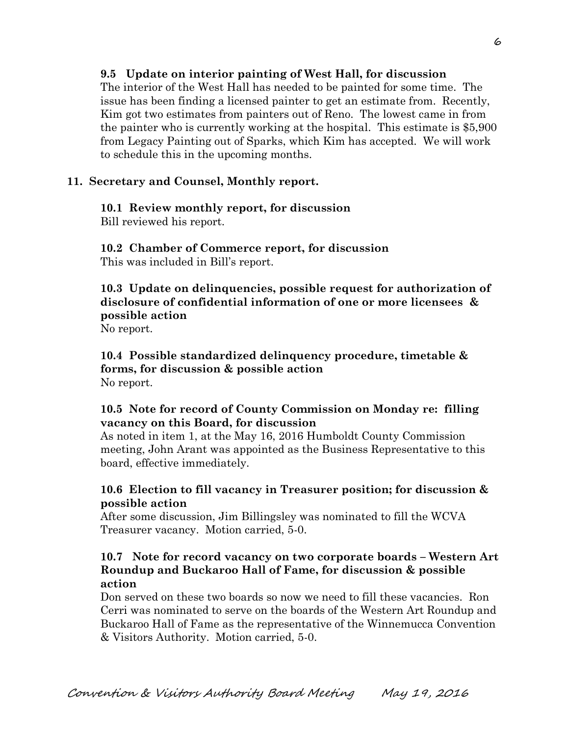## **9.5 Update on interior painting of West Hall, for discussion**

 The interior of the West Hall has needed to be painted for some time. The issue has been finding a licensed painter to get an estimate from. Recently, Kim got two estimates from painters out of Reno. The lowest came in from the painter who is currently working at the hospital. This estimate is \$5,900 from Legacy Painting out of Sparks, which Kim has accepted. We will work to schedule this in the upcoming months.

#### **11. Secretary and Counsel, Monthly report.**

# **10.1 Review monthly report, for discussion**

Bill reviewed his report.

**10.2 Chamber of Commerce report, for discussion**  This was included in Bill's report.

**10.3 Update on delinquencies, possible request for authorization of disclosure of confidential information of one or more licensees & possible action** 

No report.

**10.4 Possible standardized delinquency procedure, timetable & forms, for discussion & possible action**  No report.

### **10.5 Note for record of County Commission on Monday re: filling vacancy on this Board, for discussion**

As noted in item 1, at the May 16, 2016 Humboldt County Commission meeting, John Arant was appointed as the Business Representative to this board, effective immediately.

## **10.6 Election to fill vacancy in Treasurer position; for discussion & possible action**

After some discussion, Jim Billingsley was nominated to fill the WCVA Treasurer vacancy. Motion carried, 5-0.

## **10.7 Note for record vacancy on two corporate boards – Western Art Roundup and Buckaroo Hall of Fame, for discussion & possible action**

Don served on these two boards so now we need to fill these vacancies. Ron Cerri was nominated to serve on the boards of the Western Art Roundup and Buckaroo Hall of Fame as the representative of the Winnemucca Convention & Visitors Authority. Motion carried, 5-0.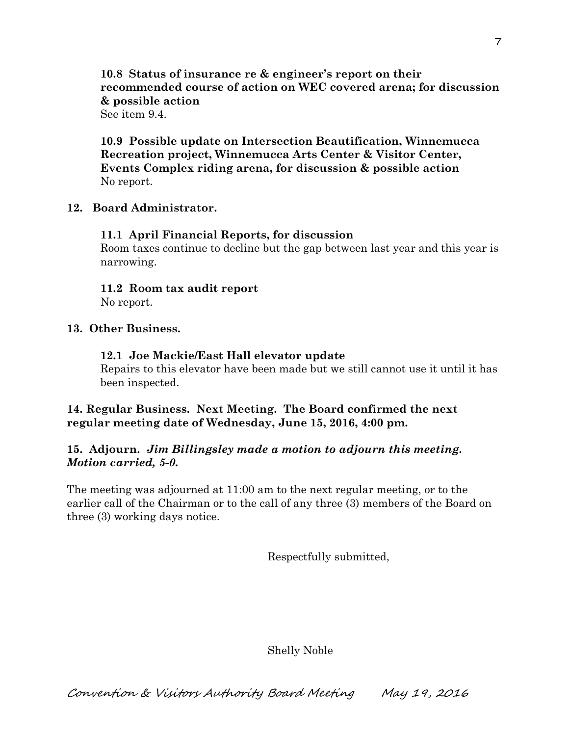## **10.8 Status of insurance re & engineer's report on their recommended course of action on WEC covered arena; for discussion & possible action**

See item 9.4

**10.9 Possible update on Intersection Beautification, Winnemucca Recreation project, Winnemucca Arts Center & Visitor Center, Events Complex riding arena, for discussion & possible action**  No report.

### **12. Board Administrator.**

## **11.1 April Financial Reports, for discussion**

Room taxes continue to decline but the gap between last year and this year is narrowing.

**11.2 Room tax audit report**  No report.

## **13. Other Business.**

## **12.1 Joe Mackie/East Hall elevator update**

Repairs to this elevator have been made but we still cannot use it until it has been inspected.

## **14. Regular Business. Next Meeting. The Board confirmed the next regular meeting date of Wednesday, June 15, 2016, 4:00 pm.**

## **15. Adjourn.** *Jim Billingsley made a motion to adjourn this meeting. Motion carried, 5-0.*

The meeting was adjourned at 11:00 am to the next regular meeting, or to the earlier call of the Chairman or to the call of any three (3) members of the Board on three (3) working days notice.

Respectfully submitted,

Shelly Noble